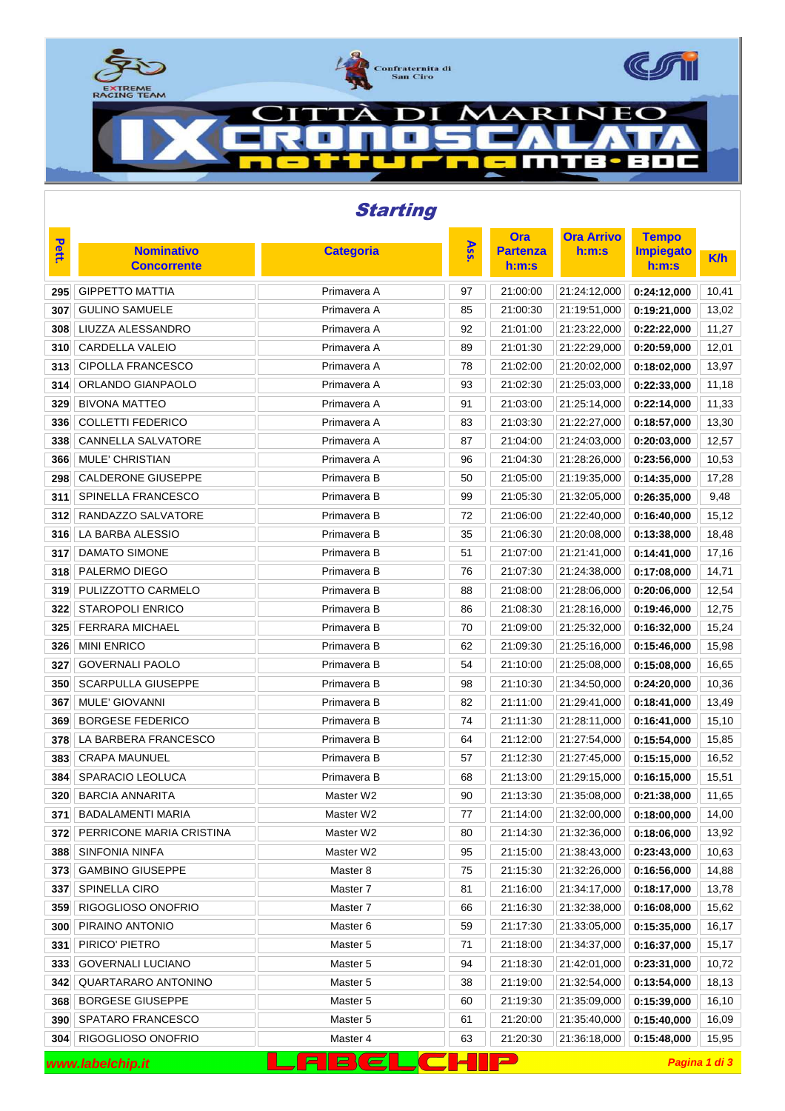

| <b>Starting</b>                                                |                                         |                  |        |                          |                          |                           |            |  |  |
|----------------------------------------------------------------|-----------------------------------------|------------------|--------|--------------------------|--------------------------|---------------------------|------------|--|--|
|                                                                |                                         |                  |        | <b>Ora</b>               | <b>Ora Arrivo</b>        | <b>Tempo</b>              |            |  |  |
| Pett.                                                          | <b>Nominativo</b><br><b>Concorrente</b> | <b>Categoria</b> | Ass.   | <b>Partenza</b><br>h:m:s | h:m:s                    | <b>Impiegato</b><br>h:m:s | <b>K/h</b> |  |  |
| 295                                                            | <b>GIPPETTO MATTIA</b>                  | Primavera A      | 97     | 21:00:00                 | 21:24:12,000             | 0:24:12,000               | 10,41      |  |  |
| 307                                                            | <b>GULINO SAMUELE</b>                   | Primavera A      | 85     | 21:00:30                 | 21:19:51,000             | 0:19:21,000               | 13,02      |  |  |
| 308                                                            | LIUZZA ALESSANDRO                       | Primavera A      | 92     | 21:01:00                 | 21:23:22,000             | 0:22:22,000               | 11,27      |  |  |
| 310                                                            | <b>CARDELLA VALEIO</b>                  | Primavera A      | 89     | 21:01:30                 | 21:22:29,000             | 0:20:59,000               | 12,01      |  |  |
| 313                                                            | <b>CIPOLLA FRANCESCO</b>                | Primavera A      | 78     | 21:02:00                 | 21:20:02,000             | 0:18:02,000               | 13,97      |  |  |
| 314                                                            | ORLANDO GIANPAOLO                       | Primavera A      | 93     | 21:02:30                 | 21:25:03,000             | 0:22:33,000               | 11,18      |  |  |
| 329                                                            | <b>BIVONA MATTEO</b>                    | Primavera A      | 91     | 21:03:00                 | 21:25:14,000             | 0:22:14,000               | 11,33      |  |  |
| 336                                                            | <b>COLLETTI FEDERICO</b>                | Primavera A      | 83     | 21:03:30                 | 21:22:27,000             | 0:18:57,000               | 13,30      |  |  |
| 338                                                            | <b>CANNELLA SALVATORE</b>               | Primavera A      | 87     | 21:04:00                 | 21:24:03,000             | 0:20:03,000               | 12,57      |  |  |
| 366                                                            | <b>MULE' CHRISTIAN</b>                  | Primavera A      | 96     | 21:04:30                 | 21:28:26,000             | 0:23:56,000               | 10,53      |  |  |
| 298                                                            | <b>CALDERONE GIUSEPPE</b>               | Primavera B      | 50     | 21:05:00                 | 21:19:35,000             | 0:14:35,000               | 17,28      |  |  |
| 311                                                            | SPINELLA FRANCESCO                      | Primavera B      | 99     | 21:05:30                 | 21:32:05,000             | 0:26:35,000               | 9,48       |  |  |
| 312                                                            | RANDAZZO SALVATORE                      | Primavera B      | 72     | 21:06:00                 | 21:22:40,000             | 0:16:40,000               | 15,12      |  |  |
| 316                                                            | LA BARBA ALESSIO                        | Primavera B      | 35     | 21:06:30                 | 21:20:08,000             | 0:13:38,000               | 18,48      |  |  |
| 317                                                            | <b>DAMATO SIMONE</b>                    | Primavera B      | 51     | 21:07:00                 | 21:21:41,000             | 0:14:41,000               | 17,16      |  |  |
| 318                                                            | PALERMO DIEGO                           | Primavera B      | 76     | 21:07:30                 | 21:24:38,000             | 0:17:08,000               | 14,71      |  |  |
| 319                                                            | PULIZZOTTO CARMELO                      | Primavera B      | 88     | 21:08:00                 | 21:28:06,000             | 0:20:06,000               | 12,54      |  |  |
| 322                                                            | <b>STAROPOLI ENRICO</b>                 | Primavera B      | 86     | 21:08:30                 | 21:28:16,000             | 0:19:46,000               | 12,75      |  |  |
| 325                                                            | <b>FERRARA MICHAEL</b>                  | Primavera B      | 70     | 21:09:00                 | 21:25:32,000             | 0:16:32,000               | 15,24      |  |  |
| 326                                                            | <b>MINI ENRICO</b>                      | Primavera B      | 62     | 21:09:30                 | 21:25:16,000             | 0:15:46,000               | 15,98      |  |  |
| 327                                                            | <b>GOVERNALI PAOLO</b>                  | Primavera B      | 54     | 21:10:00                 | 21:25:08,000             | 0:15:08,000               | 16,65      |  |  |
| 350                                                            | <b>SCARPULLA GIUSEPPE</b>               | Primavera B      | 98     | 21:10:30                 | 21:34:50,000             | 0:24:20,000               | 10,36      |  |  |
| 367                                                            | <b>MULE' GIOVANNI</b>                   | Primavera B      | 82     | 21:11:00                 | 21:29:41,000             | 0:18:41,000               | 13,49      |  |  |
| 369                                                            | <b>BORGESE FEDERICO</b>                 | Primavera B      | 74     | 21:11:30                 | 21:28:11,000             | 0:16:41,000               | 15,10      |  |  |
| 378                                                            | LA BARBERA FRANCESCO                    | Primavera B      | 64     | 21:12:00                 | 21:27:54,000             | 0:15:54,000               | 15,85      |  |  |
| 383                                                            | <b>CRAPA MAUNUEL</b>                    | Primavera B      | 57     | 21:12:30                 | 21:27:45,000             | 0:15:15,000               | 16,52      |  |  |
| 384                                                            | SPARACIO LEOLUCA                        | Primavera B      | 68     | 21:13:00                 | 21:29:15,000             | 0:16:15,000               | 15,51      |  |  |
|                                                                | 320 BARCIA ANNARITA                     | Master W2        | $90\,$ | 21:13:30                 | 21:35:08,000 0:21:38,000 |                           | 11,65      |  |  |
| 371                                                            | BADALAMENTI MARIA                       | Master W2        | 77     | 21:14:00                 | 21:32:00,000             | 0:18:00,000               | 14,00      |  |  |
| 372                                                            | PERRICONE MARIA CRISTINA                | Master W2        | 80     | 21:14:30                 | 21:32:36,000             | 0:18:06,000               | 13,92      |  |  |
| 388                                                            | SINFONIA NINFA                          | Master W2        | 95     | 21:15:00                 | 21:38:43,000             | 0:23:43,000               | 10,63      |  |  |
| 373                                                            | <b>GAMBINO GIUSEPPE</b>                 | Master 8         | 75     | 21:15:30                 | 21:32:26,000             | 0:16:56,000               | 14,88      |  |  |
| 337                                                            | SPINELLA CIRO                           | Master 7         | 81     | 21:16:00                 | 21:34:17,000             | 0:18:17,000               | 13,78      |  |  |
| 359                                                            | RIGOGLIOSO ONOFRIO                      | Master 7         | 66     | 21:16:30                 | 21:32:38,000             | 0:16:08,000               | 15,62      |  |  |
| 300                                                            | PIRAINO ANTONIO                         | Master 6         | 59     | 21:17:30                 | 21:33:05,000             | 0:15:35,000               | 16,17      |  |  |
| 331                                                            | PIRICO' PIETRO                          | Master 5         | 71     | 21:18:00                 | 21:34:37,000             | 0:16:37,000               | 15,17      |  |  |
| 333                                                            | <b>GOVERNALI LUCIANO</b>                | Master 5         | 94     | 21:18:30                 | 21:42:01,000             | 0:23:31,000               | 10,72      |  |  |
| 342                                                            | QUARTARARO ANTONINO                     | Master 5         | 38     | 21:19:00                 | 21:32:54,000             | 0:13:54,000               | 18,13      |  |  |
| 368                                                            | <b>BORGESE GIUSEPPE</b>                 | Master 5         | 60     | 21:19:30                 | 21:35:09,000             | 0:15:39,000               | 16,10      |  |  |
| 390                                                            | SPATARO FRANCESCO                       | Master 5         | 61     | 21:20:00                 | 21:35:40,000             | 0:15:40,000               | 16,09      |  |  |
| 304                                                            | RIGOGLIOSO ONOFRIO                      | Master 4         | 63     | 21:20:30                 | 21:36:18,000             | 0:15:48,000               | 15,95      |  |  |
| $\blacksquare$<br>$E$ $C$<br>Pagina 1 di 3<br>www.labelchip.it |                                         |                  |        |                          |                          |                           |            |  |  |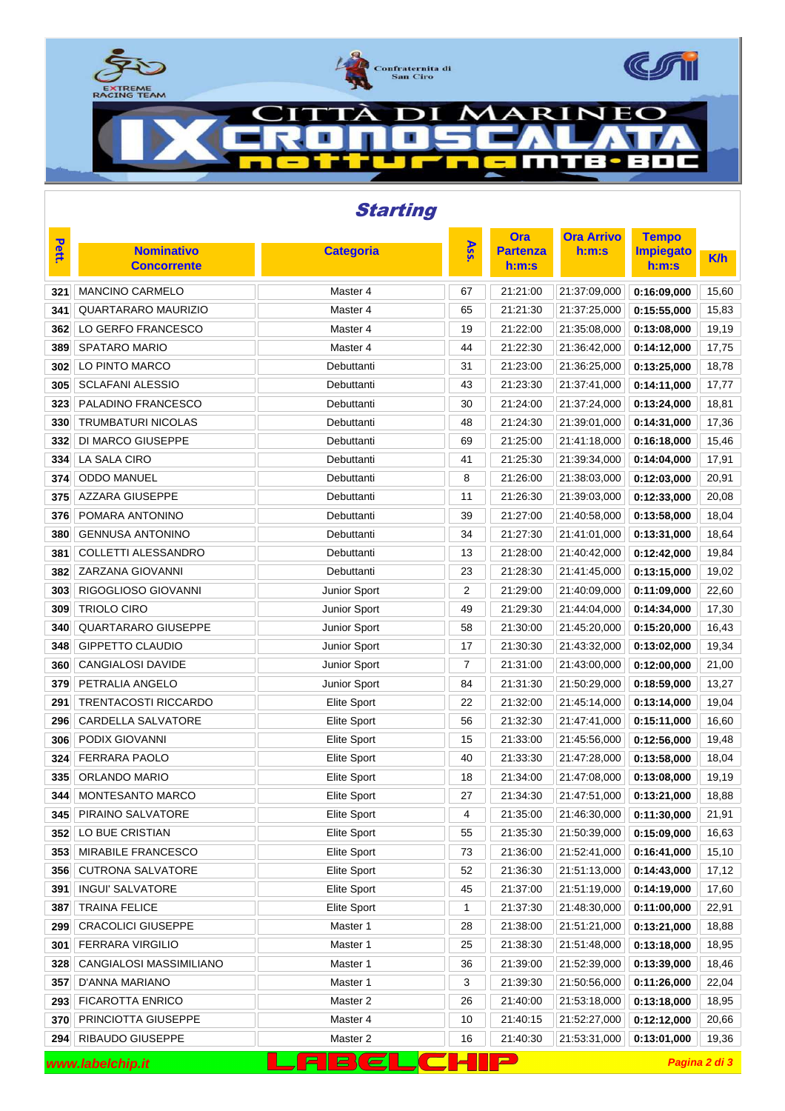

| <b>Starting</b>                                                     |                                         |                    |     |                          |                                |                           |            |  |
|---------------------------------------------------------------------|-----------------------------------------|--------------------|-----|--------------------------|--------------------------------|---------------------------|------------|--|
| <b>Pett.</b>                                                        |                                         |                    | Ass | <b>Ora</b>               | <b>Ora Arrivo</b>              | <b>Tempo</b>              |            |  |
|                                                                     | <b>Nominativo</b><br><b>Concorrente</b> | <b>Categoria</b>   |     | <b>Partenza</b><br>h:m:s | h:m:s                          | <b>Impiegato</b><br>h:m:s | <b>K/h</b> |  |
| 321                                                                 | <b>MANCINO CARMELO</b>                  | Master 4           | 67  | 21:21:00                 | 21:37:09,000                   | 0:16:09,000               | 15,60      |  |
| 341                                                                 | QUARTARARO MAURIZIO                     | Master 4           | 65  | 21:21:30                 | 21:37:25,000                   | 0:15:55,000               | 15,83      |  |
| 362                                                                 | LO GERFO FRANCESCO                      | Master 4           | 19  | 21:22:00                 | 21:35:08,000                   | 0:13:08,000               | 19,19      |  |
| 389                                                                 | <b>SPATARO MARIO</b>                    | Master 4           | 44  | 21:22:30                 | 21:36:42,000                   | 0:14:12,000               | 17,75      |  |
| 302                                                                 | LO PINTO MARCO                          | Debuttanti         | 31  | 21:23:00                 | 21:36:25,000                   | 0:13:25,000               | 18,78      |  |
| 305                                                                 | <b>SCLAFANI ALESSIO</b>                 | Debuttanti         | 43  | 21:23:30                 | 21:37:41,000                   | 0:14:11,000               | 17,77      |  |
| 323                                                                 | PALADINO FRANCESCO                      | Debuttanti         | 30  | 21:24:00                 | 21:37:24,000                   | 0:13:24,000               | 18,81      |  |
| 330                                                                 | <b>TRUMBATURI NICOLAS</b>               | Debuttanti         | 48  | 21:24:30                 | 21:39:01,000                   | 0:14:31,000               | 17,36      |  |
| 332                                                                 | DI MARCO GIUSEPPE                       | Debuttanti         | 69  | 21:25:00                 | 21:41:18,000                   | 0:16:18,000               | 15,46      |  |
| 334                                                                 | <b>LA SALA CIRO</b>                     | Debuttanti         | 41  | 21:25:30                 | 21:39:34,000                   | 0:14:04,000               | 17,91      |  |
| 374                                                                 | <b>ODDO MANUEL</b>                      | Debuttanti         | 8   | 21:26:00                 | 21:38:03,000                   | 0:12:03,000               | 20,91      |  |
| 375                                                                 | <b>AZZARA GIUSEPPE</b>                  | Debuttanti         | 11  | 21:26:30                 | 21:39:03,000                   | 0:12:33,000               | 20,08      |  |
| 376                                                                 | POMARA ANTONINO                         | Debuttanti         | 39  | 21:27:00                 | 21:40:58,000                   | 0:13:58,000               | 18,04      |  |
| 380                                                                 | <b>GENNUSA ANTONINO</b>                 | Debuttanti         | 34  | 21:27:30                 | 21:41:01,000                   | 0:13:31,000               | 18,64      |  |
| 381                                                                 | COLLETTI ALESSANDRO                     | Debuttanti         | 13  | 21:28:00                 | 21:40:42,000                   | 0:12:42,000               | 19,84      |  |
| 382                                                                 | ZARZANA GIOVANNI                        | Debuttanti         | 23  | 21:28:30                 | 21:41:45,000                   | 0:13:15,000               | 19,02      |  |
| 303                                                                 | RIGOGLIOSO GIOVANNI                     | Junior Sport       | 2   | 21:29:00                 | 21:40:09,000                   | 0:11:09,000               | 22,60      |  |
| 309                                                                 | <b>TRIOLO CIRO</b>                      | Junior Sport       | 49  | 21:29:30                 | 21:44:04,000                   | 0:14:34,000               | 17,30      |  |
| 340                                                                 | <b>QUARTARARO GIUSEPPE</b>              | Junior Sport       | 58  | 21:30:00                 | 21:45:20,000                   | 0:15:20,000               | 16,43      |  |
| 348                                                                 | <b>GIPPETTO CLAUDIO</b>                 | Junior Sport       | 17  | 21:30:30                 | 21:43:32,000                   | 0:13:02,000               | 19,34      |  |
| 360                                                                 | <b>CANGIALOSI DAVIDE</b>                | Junior Sport       | 7   | 21:31:00                 | 21:43:00,000                   | 0:12:00,000               | 21,00      |  |
| 379                                                                 | PETRALIA ANGELO                         | Junior Sport       | 84  | 21:31:30                 | 21:50:29,000                   | 0:18:59,000               | 13,27      |  |
| 291                                                                 | <b>TRENTACOSTI RICCARDO</b>             | Elite Sport        | 22  | 21:32:00                 | 21:45:14,000                   | 0:13:14,000               | 19,04      |  |
| 296                                                                 | CARDELLA SALVATORE                      | <b>Elite Sport</b> | 56  | 21:32:30                 | 21:47:41,000                   | 0:15:11,000               | 16,60      |  |
| 306                                                                 | PODIX GIOVANNI                          | Elite Sport        | 15  | 21:33:00                 | 21:45:56,000                   | 0:12:56,000               | 19,48      |  |
| 324                                                                 | FERRARA PAOLO                           | <b>Elite Sport</b> | 40  | 21:33:30                 | 21:47:28,000                   | 0:13:58,000               | 18,04      |  |
| 335                                                                 | ORLANDO MARIO                           | Elite Sport        | 18  | 21:34:00                 | 21:47:08,000                   | 0:13:08,000               | 19,19      |  |
|                                                                     | 344 MONTESANTO MARCO                    | Elite Sport        | 27  | 21:34:30                 | $  21:47:51,000  $ 0:13:21,000 |                           | 18,88      |  |
| 345                                                                 | PIRAINO SALVATORE                       | Elite Sport        | 4   | 21:35:00                 | 21:46:30,000                   | 0:11:30,000               | 21,91      |  |
| 352                                                                 | LO BUE CRISTIAN                         | Elite Sport        | 55  | 21:35:30                 | 21:50:39,000                   | 0:15:09,000               | 16,63      |  |
| 353                                                                 | MIRABILE FRANCESCO                      | Elite Sport        | 73  | 21:36:00                 | 21:52:41,000                   | 0:16:41,000               | 15,10      |  |
| 356                                                                 | <b>CUTRONA SALVATORE</b>                | Elite Sport        | 52  | 21:36:30                 | 21:51:13,000                   | 0:14:43,000               | 17,12      |  |
| 391                                                                 | <b>INGUI' SALVATORE</b>                 | Elite Sport        | 45  | 21:37:00                 | 21:51:19,000                   | 0:14:19,000               | 17,60      |  |
| 387                                                                 | <b>TRAINA FELICE</b>                    | Elite Sport        | 1   | 21:37:30                 | 21:48:30,000                   | 0:11:00,000               | 22,91      |  |
| 299                                                                 | <b>CRACOLICI GIUSEPPE</b>               | Master 1           | 28  | 21:38:00                 | 21:51:21,000                   | 0:13:21,000               | 18,88      |  |
| 301                                                                 | <b>FERRARA VIRGILIO</b>                 | Master 1           | 25  | 21:38:30                 | 21:51:48,000                   | 0:13:18,000               | 18,95      |  |
| 328                                                                 | CANGIALOSI MASSIMILIANO                 | Master 1           | 36  | 21:39:00                 | 21:52:39,000                   | 0:13:39,000               | 18,46      |  |
| 357                                                                 | D'ANNA MARIANO                          | Master 1           | 3   | 21:39:30                 | 21:50:56,000                   | 0:11:26,000               | 22,04      |  |
| 293                                                                 | <b>FICAROTTA ENRICO</b>                 | Master 2           | 26  | 21:40:00                 | 21:53:18,000                   | 0:13:18,000               | 18,95      |  |
| 370                                                                 | PRINCIOTTA GIUSEPPE                     | Master 4           | 10  | 21:40:15                 | 21:52:27,000                   | 0:12:12,000               | 20,66      |  |
| 294                                                                 | RIBAUDO GIUSEPPE                        | Master 2           | 16  | 21:40:30                 | 21:53:31,000                   | 0:13:01,000               | 19,36      |  |
| $\mathbf{P}$<br>$E$ $C$<br>FТ<br>$\blacksquare$<br>www.labelchip.it |                                         |                    |     |                          | Pagina 2 di 3                  |                           |            |  |